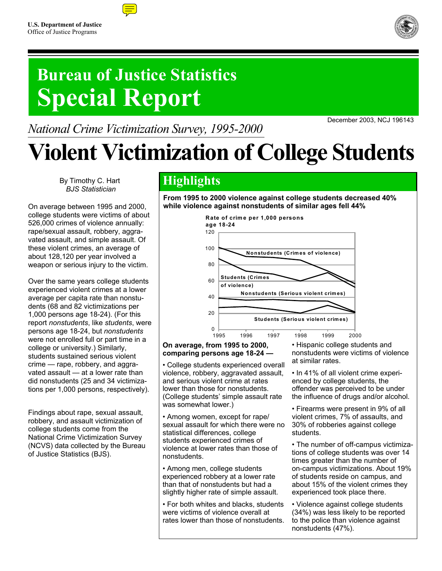## **Bureau of Justice Statistics Special Report**

*National Crime Victimization Survey, 1995-2000* 

# **Violent Victimization of College Students**

By Timothy C. Hart *BJS Statistician*

On average between 1995 and 2000, college students were victims of about 526,000 crimes of violence annually: rape/sexual assault, robbery, aggravated assault, and simple assault. Of these violent crimes, an average of about 128,120 per year involved a weapon or serious injury to the victim.

Over the same years college students experienced violent crimes at a lower average per capita rate than nonstudents (68 and 82 victimizations per 1,000 persons age 18-24). (For this report *nonstudents*, like *students*, were persons age 18-24, but *nonstudents* were not enrolled full or part time in a college or university.) Similarly, students sustained serious violent crime — rape, robbery, and aggravated assault — at a lower rate than did nonstudents (25 and 34 victimizations per 1,000 persons, respectively).

Findings about rape, sexual assault, robbery, and assault victimization of college students come from the National Crime Victimization Survey (NCVS) data collected by the Bureau of Justice Statistics (BJS).

### **Highlights**

120

**age 18-24**

**From 1995 to 2000 violence against college students decreased 40% while violence against nonstudents of similar ages fell 44%**



**Rate of crime per 1,000 persons**

#### **On average, from 1995 to 2000, comparing persons age 18-24 —**

• College students experienced overall violence, robbery, aggravated assault, and serious violent crime at rates lower than those for nonstudents. (College students' simple assault rate was somewhat lower.)

• Among women, except for rape/ sexual assault for which there were no statistical differences, college students experienced crimes of violence at lower rates than those of nonstudents.

• Among men, college students experienced robbery at a lower rate than that of nonstudents but had a slightly higher rate of simple assault.

• For both whites and blacks, students were victims of violence overall at rates lower than those of nonstudents.

• Hispanic college students and nonstudents were victims of violence at similar rates.

• In 41% of all violent crime experienced by college students, the offender was perceived to be under the influence of drugs and/or alcohol.

• Firearms were present in 9% of all violent crimes, 7% of assaults, and 30% of robberies against college students.

• The number of off-campus victimizations of college students was over 14 times greater than the number of on-campus victimizations. About 19% of students reside on campus, and about 15% of the violent crimes they experienced took place there.

• Violence against college students (34%) was less likely to be reported to the police than violence against nonstudents (47%).





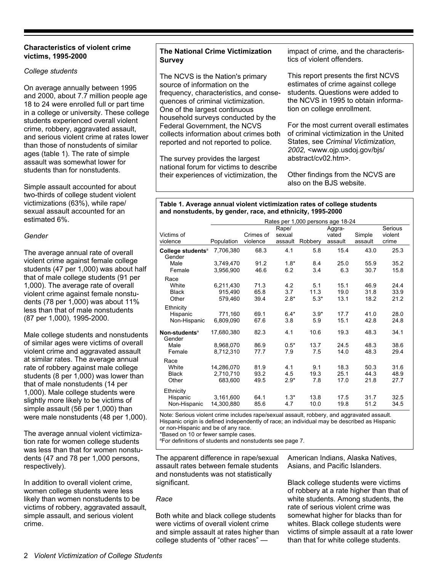#### **Characteristics of violent crime victims, 1995-2000**

#### *College students*

On average annually between 1995 and 2000, about 7.7 million people age 18 to 24 were enrolled full or part time in a college or university. These college students experienced overall violent crime, robbery, aggravated assault, and serious violent crime at rates lower than those of nonstudents of similar ages (table 1). The rate of simple assault was somewhat lower for students than for nonstudents.

Simple assault accounted for about two-thirds of college student violent victimizations (63%), while rape/ sexual assault accounted for an estimated 6%.

#### *Gender*

The average annual rate of overall violent crime against female college students (47 per 1,000) was about half that of male college students (91 per 1,000). The average rate of overall violent crime against female nonstudents (78 per 1,000) was about 11% less than that of male nonstudents (87 per 1,000), 1995-2000.

Male college students and nonstudents of similar ages were victims of overall violent crime and aggravated assault at similar rates. The average annual rate of robbery against male college students (8 per 1,000) was lower than that of male nonstudents (14 per 1,000). Male college students were slightly more likely to be victims of simple assault (56 per 1,000) than were male nonstudents (48 per 1,000).

The average annual violent victimization rate for women college students was less than that for women nonstudents (47 and 78 per 1,000 persons, respectively).

In addition to overall violent crime, women college students were less likely than women nonstudents to be victims of robbery, aggravated assault, simple assault, and serious violent crime.

#### **The National Crime Victimization Survey**

The NCVS is the Nation's primary source of information on the frequency, characteristics, and consequences of criminal victimization. One of the largest continuous household surveys conducted by the Federal Government, the NCVS collects information about crimes both reported and not reported to police.

The survey provides the largest national forum for victims to describe their experiences of victimization, the

impact of crime, and the characteristics of violent offenders.

This report presents the first NCVS estimates of crime against college students. Questions were added to the NCVS in 1995 to obtain information on college enrollment.

For the most current overall estimates of criminal victimization in the United States, see *Criminal Victimization, 2002,* <www.ojp.usdoj.gov/bjs/ abstract/cv02.htm>.

Other findings from the NCVS are also on the BJS website.

#### **Table 1. Average annual violent victimization rates of college students and nonstudents, by gender, race, and ethnicity, 1995-2000**

|                                         | Rates per 1,000 persons age 18-24 |              |               |               |              |              |              |
|-----------------------------------------|-----------------------------------|--------------|---------------|---------------|--------------|--------------|--------------|
|                                         |                                   |              | Rape/         |               | Aggra-       |              | Serious      |
| Victims of                              |                                   | Crimes of    | sexual        |               | vated        | Simple       | violent      |
| violence                                | Population                        | violence     | assault       | Robbery       | assault      | assault      | crime        |
| College students <sup>a</sup><br>Gender | 7,706,380                         | 68.3         | 4.1           | 5.8           | 15.4         | 43.0         | 25.3         |
| Male                                    | 3,749,470                         | 91.2         | $1.8*$        | 8.4           | 25.0         | 55.9         | 35.2         |
| Female                                  | 3,956,900                         | 46.6         | 6.2           | 3.4           | 6.3          | 30.7         | 15.8         |
| Race                                    |                                   |              |               |               |              |              |              |
| White                                   | 6,211,430                         | 71.3         | 4.2           | 5.1           | 15.1         | 46.9         | 24.4         |
| <b>Black</b>                            | 915,490                           | 65.8         | 3.7           | 11.3          | 19.0         | 31.8         | 33.9         |
| Other                                   | 579,460                           | 39.4         | $2.8*$        | $5.3*$        | 13.1         | 18.2         | 21.2         |
| Ethnicity<br>Hispanic<br>Non-Hispanic   | 771,160<br>6,809,090              | 69.1<br>67.6 | $6.4*$<br>3.8 | $3.9*$<br>5.9 | 17.7<br>15.1 | 41.0<br>42.8 | 28.0<br>24.8 |
|                                         |                                   |              |               |               |              |              |              |
| Non-students <sup>a</sup><br>Gender     | 17,680,380                        | 82.3         | 4.1           | 10.6          | 19.3         | 48.3         | 34.1         |
| Male                                    | 8,968,070                         | 86.9         | $0.5*$        | 13.7          | 24.5         | 48.3         | 38.6         |
| Female                                  | 8,712,310                         | 77.7         | 7.9           | 7.5           | 14.0         | 48.3         | 29.4         |
| Race                                    |                                   |              |               |               |              |              |              |
| White                                   | 14,286,070                        | 81.9         | 4.1           | 9.1           | 18.3         | 50.3         | 31.6         |
| <b>Black</b>                            | 2.710.710                         | 93.2         | 4.5           | 19.3          | 25.1         | 44.3         | 48.9         |
| Other                                   | 683,600                           | 49.5         | $2.9*$        | 7.8           | 17.0         | 21.8         | 27.7         |
| Ethnicity                               |                                   |              |               |               |              |              |              |
| Hispanic<br>Non-Hispanic                | 3,161,600<br>14,300,880           | 64.1<br>85.6 | $1.3*$<br>4.7 | 13.8<br>10.0  | 17.5<br>19.8 | 31.7<br>51.2 | 32.5<br>34.5 |

Note: Serious violent crime includes rape/sexual assault, robbery, and aggravated assault. Hispanic origin is defined independently of race; an individual may be described as Hispanic or non-Hispanic and be of any race.

\*Based on 10 or fewer sample cases.

a For definitions of students and nonstudents see page 7.

The apparent difference in rape/sexual assault rates between female students and nonstudents was not statistically significant.

#### *Race*

Both white and black college students were victims of overall violent crime and simple assault at rates higher than college students of "other races" —

American Indians, Alaska Natives, Asians, and Pacific Islanders.

Black college students were victims of robbery at a rate higher than that of white students. Among students, the rate of serious violent crime was somewhat higher for blacks than for whites. Black college students were victims of simple assault at a rate lower than that for white college students.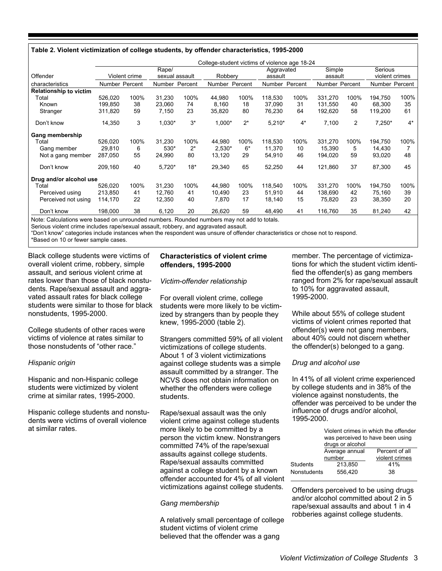#### **Table 2. Violent victimization of college students, by offender characteristics, 1995-2000**

|                               |                |               |                |       | College-student victims of violence age 18-24 |       |                |       |                |      |                |       |
|-------------------------------|----------------|---------------|----------------|-------|-----------------------------------------------|-------|----------------|-------|----------------|------|----------------|-------|
|                               |                |               | Rape/          |       |                                               |       | Aggravated     |       | Simple         |      | Serious        |       |
| Offender                      |                | Violent crime | sexual assault |       | Robbery                                       |       | assault        |       | assault        |      | violent crimes |       |
| characteristics               | Number Percent |               | Number Percent |       | Number Percent                                |       | Number Percent |       | Number Percent |      | Number Percent |       |
| <b>Relationship to victim</b> |                |               |                |       |                                               |       |                |       |                |      |                |       |
| Total                         | 526,020        | 100%          | 31.230         | 100%  | 44,980                                        | 100%  | 118,530        | 100%  | 331,270        | 100% | 194,750        | 100%  |
| Known                         | 199.850        | 38            | 23,060         | 74    | 8,160                                         | 18    | 37,090         | 31    | 131.550        | 40   | 68,300         | 35    |
| Stranger                      | 311,820        | 59            | 7,150          | 23    | 35,820                                        | 80    | 76,230         | 64    | 192,620        | 58   | 119,200        | 61    |
| Don't know                    | 14,350         | 3             | 1,030*         | $3^*$ | 1,000*                                        | $2^*$ | $5,210*$       | $4^*$ | 7,100          | 2    | $7,250*$       | $4^*$ |
| Gang membership               |                |               |                |       |                                               |       |                |       |                |      |                |       |
| Total                         | 526,020        | 100%          | 31,230         | 100%  | 44,980                                        | 100%  | 118,530        | 100%  | 331.270        | 100% | 194,750        | 100%  |
| Gang member                   | 29,810         | 6             | 530*           | $2^*$ | $2,530*$                                      | $6*$  | 11,370         | 10    | 15,390         | 5    | 14,430         |       |
| Not a gang member             | 287,050        | 55            | 24,990         | 80    | 13,120                                        | 29    | 54,910         | 46    | 194,020        | 59   | 93,020         | 48    |
| Don't know                    | 209,160        | 40            | $5,720*$       | $18*$ | 29,340                                        | 65    | 52,250         | 44    | 121,860        | 37   | 87,300         | 45    |
| Drug and/or alcohol use       |                |               |                |       |                                               |       |                |       |                |      |                |       |
| Total                         | 526,020        | 100%          | 31.230         | 100%  | 44,980                                        | 100%  | 118,540        | 100%  | 331,270        | 100% | 194,750        | 100%  |
| Perceived using               | 213,850        | 41            | 12,760         | 41    | 10,490                                        | 23    | 51,910         | 44    | 138,690        | 42   | 75,160         | 39    |
| Perceived not using           | 114,170        | 22            | 12,350         | 40    | 7,870                                         | 17    | 18,140         | 15    | 75,820         | 23   | 38,350         | 20    |
| Don't know                    | 198,000        | 38            | 6,120          | 20    | 26,620                                        | 59    | 48,490         | 41    | 116,760        | 35   | 81,240         | 42    |

Note: Calculations were based on unrounded numbers. Rounded numbers may not add to totals.

Serious violent crime includes rape/sexual assault, robbery, and aggravated assault.

"Don't know" categories include instances when the respondent was unsure of offender characteristics or chose not to respond.

\*Based on 10 or fewer sample cases.

Black college students were victims of overall violent crime, robbery, simple assault, and serious violent crime at rates lower than those of black nonstudents. Rape/sexual assault and aggravated assault rates for black college students were similar to those for black nonstudents, 1995-2000.

College students of other races were victims of violence at rates similar to those nonstudents of "other race."

#### *Hispanic origin*

Hispanic and non-Hispanic college students were victimized by violent crime at similar rates, 1995-2000.

Hispanic college students and nonstudents were victims of overall violence at similar rates.

#### **Characteristics of violent crime offenders, 1995-2000**

#### *Victim-offender relationship*

For overall violent crime, college students were more likely to be victimized by strangers than by people they knew, 1995-2000 (table 2).

Strangers committed 59% of all violent victimizations of college students. About 1 of 3 violent victimizations against college students was a simple assault committed by a stranger. The NCVS does not obtain information on whether the offenders were college students.

Rape/sexual assault was the only violent crime against college students more likely to be committed by a person the victim knew. Nonstrangers committed 74% of the rape/sexual assaults against college students. Rape/sexual assaults committed against a college student by a known offender accounted for 4% of all violent victimizations against college students*.*

#### *Gang membership*

A relatively small percentage of college student victims of violent crime believed that the offender was a gang

member. The percentage of victimizations for which the student victim identified the offender(s) as gang members ranged from 2% for rape/sexual assault to 10% for aggravated assault, 1995-2000.

While about 55% of college student victims of violent crimes reported that offender(s) were not gang members, about 40% could not discern whether the offender(s) belonged to a gang.

#### *Drug and alcohol use*

In 41% of all violent crime experienced by college students and in 38% of the violence against nonstudents, the offender was perceived to be under the influence of drugs and/or alcohol, 1995-2000.

|             | was perceived to have been using<br>drugs or alcohol | Violent crimes in which the offender |
|-------------|------------------------------------------------------|--------------------------------------|
|             | Average annual                                       | Percent of all                       |
|             | number                                               | violent crimes                       |
| Students    | 213.850                                              | 41%                                  |
| Nonstudents | 556.420                                              | 38                                   |
|             |                                                      |                                      |

Offenders perceived to be using drugs and/or alcohol committed about 2 in 5 rape/sexual assaults and about 1 in 4 robberies against college students.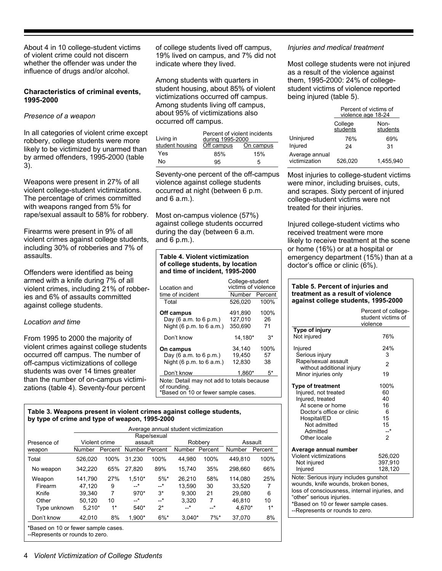About 4 in 10 college-student victims of violent crime could not discern whether the offender was under the influence of drugs and/or alcohol.

#### **Characteristics of criminal events, 1995-2000**

#### *Presence of a weapon*

In all categories of violent crime except robbery, college students were more likely to be victimized by unarmed than by armed offenders, 1995-2000 (table 3).

Weapons were present in 27% of all violent college-student victimizations. The percentage of crimes committed with weapons ranged from 5% for rape/sexual assault to 58% for robbery.

Firearms were present in 9% of all violent crimes against college students, including 30% of robberies and 7% of assaults.

Offenders were identified as being armed with a knife during 7% of all violent crimes, including 21% of robberies and 6% of assaults committed against college students.

#### *Location and time*

From 1995 to 2000 the majority of violent crimes against college students occurred off campus. The number of off-campus victimizations of college students was over 14 times greater than the number of on-campus victimizations (table 4). Seventy-four percent

of college students lived off campus, 19% lived on campus, and 7% did not indicate where they lived.

Among students with quarters in student housing, about 85% of violent victimizations occurred off campus. Among students living off campus, about 95% of victimizations also occurred off campus.

| Living in       | Percent of violent incidents<br>during 1995-2000 |           |  |  |  |  |  |
|-----------------|--------------------------------------------------|-----------|--|--|--|--|--|
| student housing | Off campus                                       | On campus |  |  |  |  |  |
| Yes             | 85%                                              | 15%       |  |  |  |  |  |
| N٥              | 95                                               | 5         |  |  |  |  |  |

Seventy-one percent of the off-campus violence against college students occurred at night (between 6 p.m. and 6 a.m.).

Most on-campus violence (57%) against college students occurred during the day (between 6 a.m. and 6 p.m.).

#### **Table 4. Violent victimization of college students, by location and time of incident, 1995-2000**

| I ocation and                                                                                     | College-student<br>victims of violence |         |  |  |  |
|---------------------------------------------------------------------------------------------------|----------------------------------------|---------|--|--|--|
| time of incident                                                                                  | Number                                 | Percent |  |  |  |
| Total                                                                                             | 526,020                                | 100%    |  |  |  |
| Off campus                                                                                        | 491,890                                | 100%    |  |  |  |
| Day $(6$ a.m. to $6$ p.m.)                                                                        | 127,010                                | 26      |  |  |  |
| Night $(6 p.m. to 6 a.m.)$                                                                        | 350.690                                | 71      |  |  |  |
| Don't know                                                                                        | 14.180*                                | 3*      |  |  |  |
| On campus                                                                                         | 34.140                                 | 100%    |  |  |  |
| Day $(6 a.m. to 6 p.m.)$                                                                          | 19,450                                 | 57      |  |  |  |
| Night $(6 p.m. to 6 a.m.)$                                                                        | 12.830                                 | 38      |  |  |  |
| Don't know                                                                                        | 1.860*                                 | 5*      |  |  |  |
| Note: Detail may not add to totals because<br>of rounding.<br>*Based on 10 or fewer sample cases. |                                        |         |  |  |  |

#### **Table 3. Weapons present in violent crimes against college students, by type of crime and type of weapon, 1995-2000**

|                                     | Average annual student victimization |         |                |             |               |         |         |         |
|-------------------------------------|--------------------------------------|---------|----------------|-------------|---------------|---------|---------|---------|
|                                     |                                      |         |                | Rape/sexual |               |         |         |         |
| Presence of                         | Violent crime                        |         | assault        |             |               | Robbery |         | Assault |
| weapon                              | Number                               | Percent | Number Percent |             | <b>Number</b> | Percent | Number  | Percent |
| Total                               | 526,020                              | 100%    | 31.230         | 100%        | 44.980        | 100%    | 449.810 | 100%    |
| No weapon                           | 342,220                              | 65%     | 27.820         | 89%         | 15.740        | 35%     | 298.660 | 66%     |
| Weapon                              | 141.790                              | 27%     | $1.510*$       | $5%$ *      | 26.210        | 58%     | 114.080 | 25%     |
| Firearm                             | 47.120                               | 9       | *              | __*         | 13.590        | 30      | 33.520  | 7       |
| Knife                               | 39.340                               | 7       | $970*$         | $3^*$       | 9.300         | 21      | 29.080  | 6       |
| Other                               | 50.120                               | 10      | *              | __*         | 3.320         | 7       | 46.810  | 10      |
| Type unknown                        | $5.210*$                             | $1*$    | $540*$         | $2^*$       | *             | *       | 4.670*  | $1*$    |
| Don't know                          | 42.010                               | 8%      | 1.900*         | $6\%$ *     | $3.040*$      | 7%      | 37.070  | 8%      |
| *Based on 10 or fewer sample cases. |                                      |         |                |             |               |         |         |         |

--Represents or rounds to zero.

#### *Injuries and medical treatment*

Most college students were not injured as a result of the violence against them, 1995-2000: 24% of collegestudent victims of violence reported being injured (table 5).

|                                 | Percent of victims of<br>violence age 18-24 |                  |  |  |  |  |
|---------------------------------|---------------------------------------------|------------------|--|--|--|--|
|                                 | College<br>students                         | Non-<br>students |  |  |  |  |
| Uninjured                       | 76%                                         | 69%              |  |  |  |  |
| Injured                         | 24                                          | 31               |  |  |  |  |
| Average annual<br>victimization | 526,020                                     | 1,455,940        |  |  |  |  |

Most injuries to college-student victims were minor, including bruises, cuts, and scrapes. Sixty percent of injured college-student victims were not treated for their injuries.

Injured college-student victims who received treatment were more likely to receive treatment at the scene or home (16%) or at a hospital or emergency department (15%) than at a doctor's office or clinic (6%).

#### **Table 5. Percent of injuries and treatment as a result of violence against college students, 1995-2000**

|                                                  | Percent of college-<br>student victims of<br>violence |
|--------------------------------------------------|-------------------------------------------------------|
| Type of injury<br>Not injured                    | 76%                                                   |
| Injured                                          | 24%                                                   |
| Serious injury                                   | 3                                                     |
| Rape/sexual assault<br>without additional injury | $\mathfrak{p}$                                        |
| Minor injuries only                              | 19                                                    |
| <b>Type of treatment</b>                         | 100%                                                  |
| Injured, not treated                             | 60                                                    |
| Injured, treated                                 | 40                                                    |
| At scene or home                                 | 16                                                    |
| Doctor's office or clinic                        | 6                                                     |
| Hospital/ED                                      | 15                                                    |
| Not admitted                                     | 15                                                    |
| Admitted                                         | __*                                                   |
| Other locale                                     | $\mathfrak{p}$                                        |
| Average annual number                            |                                                       |
| <b>Violent victimizations</b>                    | 526,020                                               |
| Not injured                                      | 397,910                                               |
| Injured                                          | 128,120                                               |
| Note: Serious injury includes gunshot            |                                                       |
| wounds, knife wounds, broken bones,              |                                                       |
| loss of consciousness, internal injuries, and    |                                                       |
| "other" serious injuries.                        |                                                       |
| *Based on 10 or fewer sample cases.              |                                                       |
| --Represents or rounds to zero.                  |                                                       |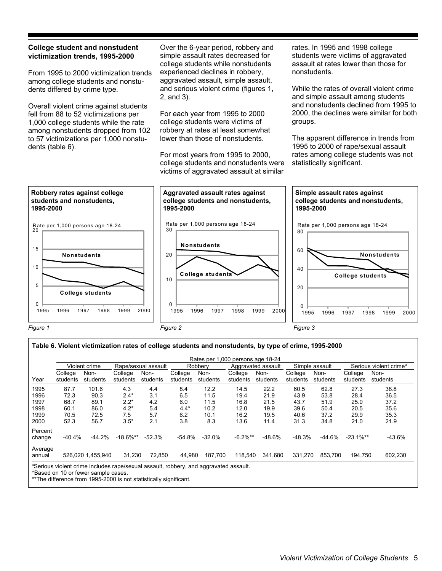#### **College student and nonstudent victimization trends, 1995-2000**

From 1995 to 2000 victimization trends among college students and nonstudents differed by crime type.

Overall violent crime against students fell from 88 to 52 victimizations per 1,000 college students while the rate among nonstudents dropped from 102 to 57 victimizations per 1,000 nonstudents (table 6).

Over the 6-year period, robbery and simple assault rates decreased for college students while nonstudents experienced declines in robbery, aggravated assault, simple assault, and serious violent crime (figures 1, 2, and 3).

For each year from 1995 to 2000 college students were victims of robbery at rates at least somewhat lower than those of nonstudents.

For most years from 1995 to 2000, college students and nonstudents were victims of aggravated assault at similar

rates. In 1995 and 1998 college students were victims of aggravated assault at rates lower than those for nonstudents.

While the rates of overall violent crime and simple assault among students and nonstudents declined from 1995 to 2000, the declines were similar for both groups.

The apparent difference in trends from 1995 to 2000 of rape/sexual assault rates among college students was not statistically significant.



*Figure 1 Figure 2 Figure 3*

#### **Table 6. Violent victimization rates of college students and nonstudents, by type of crime, 1995-2000**

|                                              |                                              |                                               |                                                    |                                        |                                           |                                             | Rates per 1,000 persons age 18-24            |                                              |                                              |                                              |                                              |                                              |
|----------------------------------------------|----------------------------------------------|-----------------------------------------------|----------------------------------------------------|----------------------------------------|-------------------------------------------|---------------------------------------------|----------------------------------------------|----------------------------------------------|----------------------------------------------|----------------------------------------------|----------------------------------------------|----------------------------------------------|
|                                              |                                              | Violent crime                                 |                                                    | Rape/sexual assault                    |                                           | Robbery                                     |                                              | Aggravated assault                           |                                              | Simple assault                               |                                              | Serious violent crime <sup>a</sup>           |
| Year                                         | College<br>students                          | Non-<br>students                              | College<br>students                                | Non-<br>students                       | College<br>students                       | Non-<br>students                            | College<br>students                          | Non-<br>students                             | College<br>students                          | Non-<br>students                             | College<br>students                          | Non-<br>students                             |
| 1995<br>1996<br>1997<br>1998<br>1999<br>2000 | 87.7<br>72.3<br>68.7<br>60.1<br>70.5<br>52.3 | 101.6<br>90.3<br>89.1<br>86.0<br>72.5<br>56.7 | 4.3<br>$2.4*$<br>$2.2*$<br>$4.2*$<br>7.5<br>$3.5*$ | 4.4<br>3.1<br>4.2<br>5.4<br>5.7<br>2.1 | 8.4<br>6.5<br>6.0<br>$4.4*$<br>6.2<br>3.8 | 12.2<br>11.5<br>11.5<br>10.2<br>10.1<br>8.3 | 14.5<br>19.4<br>16.8<br>12.0<br>16.2<br>13.6 | 22.2<br>21.9<br>21.5<br>19.9<br>19.5<br>11.4 | 60.5<br>43.9<br>43.7<br>39.6<br>40.6<br>31.3 | 62.8<br>53.8<br>51.9<br>50.4<br>37.2<br>34.8 | 27.3<br>28.4<br>25.0<br>20.5<br>29.9<br>21.0 | 38.8<br>36.5<br>37.2<br>35.6<br>35.3<br>21.9 |
| Percent<br>change                            | -40.4%                                       | $-44.2%$                                      | $-18.6\%$ **                                       | $-52.3%$                               | -54.8%                                    | $-32.0%$                                    | $-6.2\%**$                                   | $-48.6%$                                     | $-48.3%$                                     | $-44.6%$                                     | $-23.1\%$ **                                 | $-43.6%$                                     |
| Average<br>annual                            |                                              | 526,020 1,455,940                             | 31.230                                             | 72,850                                 | 44.980                                    | 187.700                                     | 118.540                                      | 341,680                                      | 331.270                                      | 853.700                                      | 194,750                                      | 602,230                                      |

\*Based on 10 or fewer sample cases.

\*\*The difference from 1995-2000 is not statistically significant.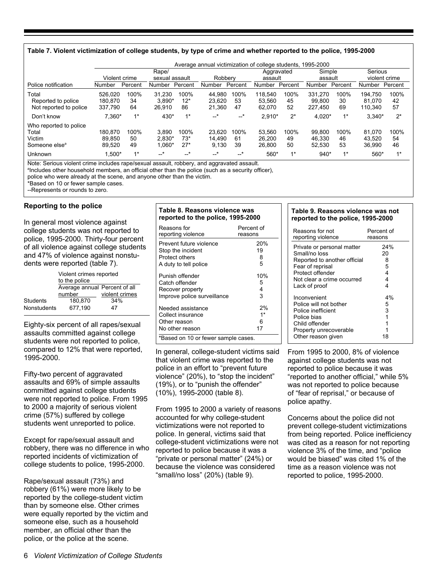#### **Table 7. Violent victimization of college students, by type of crime and whether reported to the police, 1995-2000**

|                                                                        |                               |                  |                               |                        | Average annual victimization of college students, 1995-2000 |                  |                             |                  |                              |                  |                              |                  |
|------------------------------------------------------------------------|-------------------------------|------------------|-------------------------------|------------------------|-------------------------------------------------------------|------------------|-----------------------------|------------------|------------------------------|------------------|------------------------------|------------------|
|                                                                        | Violent crime                 |                  | Rape/<br>sexual assault       |                        | Robbery                                                     |                  | Aggravated<br>assault       |                  | Simple<br>assault            |                  | Serious                      | violent crime    |
| Police notification                                                    | Number                        | Percent          | Number                        | Percent                | Number                                                      | Percent          | Number                      | Percent          | Number                       | Percent          | Number                       | Percent          |
| Total<br>Reported to police<br>Not reported to police                  | 526.020<br>180.870<br>337.790 | 100%<br>34<br>64 | 31.230<br>$3.890*$<br>26.910  | 100%<br>$12*$<br>86    | 44.980<br>23.620<br>21.360                                  | 100%<br>53<br>47 | 118.540<br>53.560<br>62.070 | 100%<br>45<br>52 | 331.270<br>99.800<br>227.450 | 100%<br>30<br>69 | 194.750<br>81.070<br>110.340 | 100%<br>42<br>57 |
| Don't know                                                             | 7,360*                        | $1*$             | 430*                          | $1*$                   | $-$ *                                                       | $-$ *            | 2,910*                      | $2^*$            | 4,020*                       | $1*$             | $3.340*$                     | $2^*$            |
| Who reported to police<br>Total<br>Victim<br>Someone else <sup>a</sup> | 180.870<br>89.850<br>89.520   | 100%<br>50<br>49 | 3.890<br>$2.830*$<br>$1.060*$ | 100%<br>$73*$<br>$27*$ | 23.620<br>14.490<br>9.130                                   | 100%<br>61<br>39 | 53.560<br>26,200<br>26,800  | 100%<br>49<br>50 | 99.800<br>46.330<br>52.530   | 100%<br>46<br>53 | 81.070<br>43.520<br>36.990   | 100%<br>54<br>46 |
| Unknown                                                                | $1,500*$                      | $1*$             | $-$ *                         | $-$ *                  | $\star$<br>--                                               | $-$ *            | 560*                        | $1*$             | $940*$                       | $1*$             | 560*                         | $1*$             |

Note: Serious violent crime includes rape/sexual assault, robbery, and aggravated assault.

<sup>a</sup>lncludes other household members, an official other than the police (such as a security officer),

police who were already at the scene, and anyone other than the victim.

\*Based on 10 or fewer sample cases.

--Represents or rounds to zero.

#### **Reporting to the police**

In general most violence against college students was not reported to police, 1995-2000. Thirty-four percent of all violence against college students and 47% of violence against nonstudents were reported (table 7).

|             | Violent crimes reported<br>to the police |                |  |  |  |  |
|-------------|------------------------------------------|----------------|--|--|--|--|
|             | Average annual Percent of all            |                |  |  |  |  |
|             | number                                   | violent crimes |  |  |  |  |
| Students    | 180.870                                  | 34%            |  |  |  |  |
| Nonstudents | 677.190<br>47                            |                |  |  |  |  |

Eighty-six percent of all rapes/sexual assaults committed against college students were not reported to police, compared to 12% that were reported, 1995-2000.

Fifty-two percent of aggravated assaults and 69% of simple assaults committed against college students were not reported to police. From 1995 to 2000 a majority of serious violent crime (57%) suffered by college students went unreported to police.

Except for rape/sexual assault and robbery, there was no difference in who reported incidents of victimization of college students to police, 1995-2000.

Rape/sexual assault (73%) and robbery (61%) were more likely to be reported by the college-student victim than by someone else. Other crimes were equally reported by the victim and someone else, such as a household member, an official other than the police, or the police at the scene.

#### **Table 8. Reasons violence was reported to the police, 1995-2000**

| Reasons for                         | Percent of |
|-------------------------------------|------------|
| reporting violence                  | reasons    |
| Prevent future violence             | 20%        |
| Stop the incident                   | 19         |
| Protect others                      | 8          |
| A duty to tell police               | 5          |
| Punish offender                     | 10%        |
| Catch offender                      | 5          |
| Recover property                    | 4          |
| Improve police surveillance         | 3          |
| Needed assistance                   | 2%         |
| Collect insurance                   | $1*$       |
| Other reason                        | 6          |
| No other reason                     | 17         |
| *Based on 10 or fewer sample cases. |            |

In general, college-student victims said that violent crime was reported to the police in an effort to "prevent future violence" (20%), to "stop the incident" (19%), or to "punish the offender" (10%), 1995-2000 (table 8).

From 1995 to 2000 a variety of reasons accounted for why college-student victimizations were not reported to police. In general, victims said that college-student victimizations were not reported to police because it was a "private or personal matter" (24%) or because the violence was considered "small/no loss" (20%) (table 9).

#### **Table 9. Reasons violence was not reported to the police, 1995-2000**

| Reasons for not                                                                                                         | Percent of   |
|-------------------------------------------------------------------------------------------------------------------------|--------------|
| reporting violence                                                                                                      | reasons      |
| Private or personal matter                                                                                              | 24%          |
| Small/no loss                                                                                                           | 20           |
| Reported to another official                                                                                            | 8            |
| Fear of reprisal                                                                                                        | 5            |
| Protect offender                                                                                                        | 4            |
| Not clear a crime occurred                                                                                              | 4            |
| Lack of proof                                                                                                           | 4            |
| Inconvenient<br>Police will not bother<br>Police inefficient<br>Police bias<br>Child offender<br>Property unrecoverable | 4%<br>5<br>3 |
| Other reason given                                                                                                      | 18           |

From 1995 to 2000, 8% of violence against college students was not reported to police because it was "reported to another official," while 5% was not reported to police because of "fear of reprisal," or because of police apathy.

Concerns about the police did not prevent college-student victimizations from being reported. Police inefficiency was cited as a reason for not reporting violence 3% of the time, and "police would be biased" was cited 1% of the time as a reason violence was not reported to police, 1995-2000.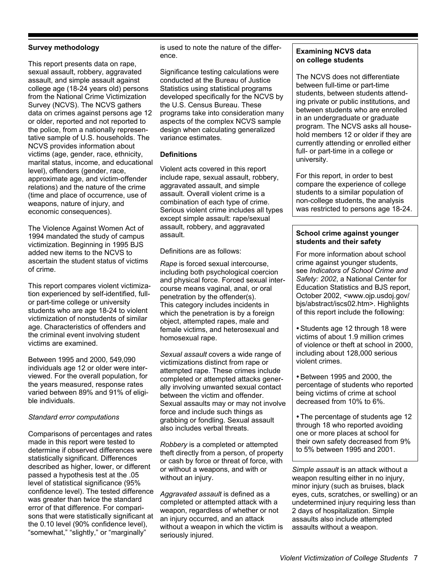#### **Survey methodology**

This report presents data on rape, sexual assault, robbery, aggravated assault, and simple assault against college age (18-24 years old) persons from the National Crime Victimization Survey (NCVS). The NCVS gathers data on crimes against persons age 12 or older, reported and not reported to the police, from a nationally representative sample of U.S. households. The NCVS provides information about victims (age, gender, race, ethnicity, marital status, income, and educational level), offenders (gender, race, approximate age, and victim-offender relations) and the nature of the crime (time and place of occurrence, use of weapons, nature of injury, and economic consequences).

The Violence Against Women Act of 1994 mandated the study of campus victimization. Beginning in 1995 BJS added new items to the NCVS to ascertain the student status of victims of crime.

This report compares violent victimization experienced by self-identified, fullor part-time college or university students who are age 18-24 to violent victimization of nonstudents of similar age. Characteristics of offenders and the criminal event involving student victims are examined.

Between 1995 and 2000, 549,090 individuals age 12 or older were interviewed. For the overall population, for the years measured, response rates varied between 89% and 91% of eligible individuals.

#### *Standard error computations*

Comparisons of percentages and rates made in this report were tested to determine if observed differences were statistically significant. Differences described as higher, lower, or different passed a hypothesis test at the .05 level of statistical significance (95% confidence level). The tested difference was greater than twice the standard error of that difference. For comparisons that were statistically significant at the 0.10 level (90% confidence level), "somewhat," "slightly," or "marginally"

is used to note the nature of the difference.

Significance testing calculations were conducted at the Bureau of Justice Statistics using statistical programs developed specifically for the NCVS by the U.S. Census Bureau. These programs take into consideration many aspects of the complex NCVS sample design when calculating generalized variance estimates.

#### **Definitions**

Violent acts covered in this report include rape, sexual assault, robbery, aggravated assault, and simple assault. Overall violent crime is a combination of each type of crime. Serious violent crime includes all types except simple assault: rape/sexual assault, robbery, and aggravated assault.

Definitions are as follows:

*Rape* is forced sexual intercourse, including both psychological coercion and physical force. Forced sexual intercourse means vaginal, anal, or oral penetration by the offender(s). This category includes incidents in which the penetration is by a foreign object, attempted rapes, male and female victims, and heterosexual and homosexual rape.

*Sexual assault* covers a wide range of victimizations distinct from rape or attempted rape. These crimes include completed or attempted attacks generally involving unwanted sexual contact between the victim and offender. Sexual assaults may or may not involve force and include such things as grabbing or fondling. Sexual assault also includes verbal threats.

*Robbery* is a completed or attempted theft directly from a person, of property or cash by force or threat of force, with or without a weapons, and with or without an injury.

*Aggravated assault* is defined as a completed or attempted attack with a weapon, regardless of whether or not an injury occurred, and an attack without a weapon in which the victim is seriously injured.

#### **Examining NCVS data on college students**

The NCVS does not differentiate between full-time or part-time students, between students attending private or public institutions, and between students who are enrolled in an undergraduate or graduate program. The NCVS asks all household members 12 or older if they are currently attending or enrolled either full- or part-time in a college or university.

For this report, in order to best compare the experience of college students to a similar population of non-college students, the analysis was restricted to persons age 18-24.

#### **School crime against younger students and their safety**

For more information about school crime against younger students, see *Indicators of School Crime and Safety: 2002*, a National Center for Education Statistics and BJS report, October 2002, <www.ojp.usdoj.gov/ bjs/abstract/iscs02.htm>. Highlights of this report include the following:

• Students age 12 through 18 were victims of about 1.9 million crimes of violence or theft at school in 2000, including about 128,000 serious violent crimes.

!Between 1995 and 2000, the percentage of students who reported being victims of crime at school decreased from 10% to 6%.

• The percentage of students age 12 through 18 who reported avoiding one or more places at school for their own safety decreased from 9% to 5% between 1995 and 2001.

*Simple assault* is an attack without a weapon resulting either in no injury, minor injury (such as bruises, black eyes, cuts, scratches, or swelling) or an undetermined injury requiring less than 2 days of hospitalization. Simple assaults also include attempted assaults without a weapon.